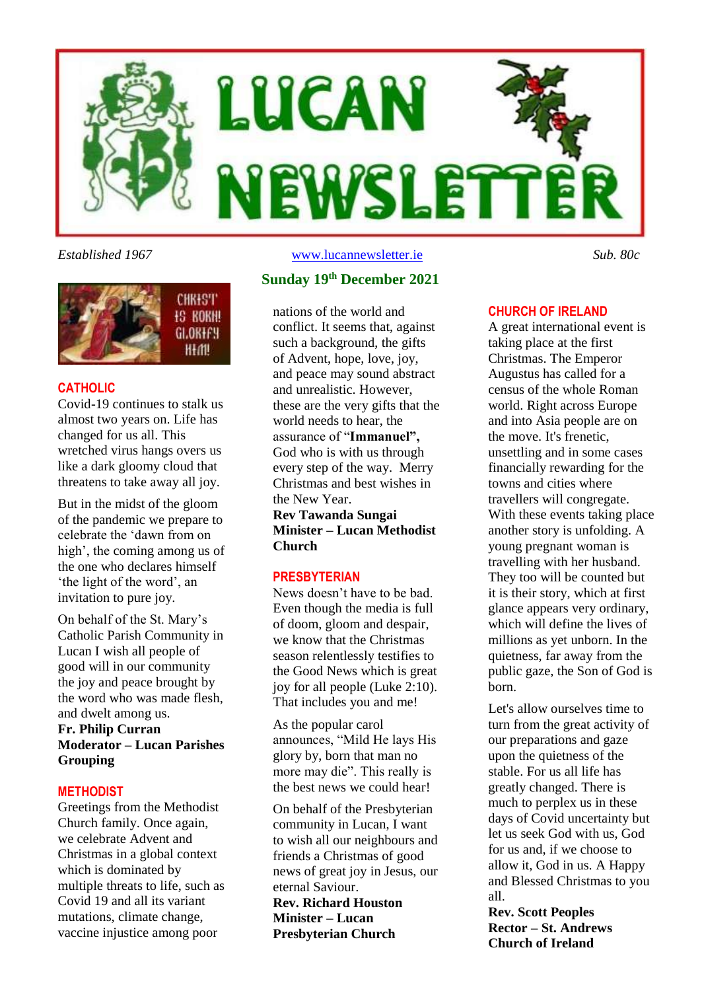



#### **CATHOLIC**

Covid-19 continues to stalk us almost two years on. Life has changed for us all. This wretched virus hangs overs us like a dark gloomy cloud that threatens to take away all joy.

But in the midst of the gloom of the pandemic we prepare to celebrate the 'dawn from on high', the coming among us of the one who declares himself 'the light of the word', an invitation to pure joy.

On behalf of the St. Mary's Catholic Parish Community in Lucan I wish all people of good will in our community the joy and peace brought by the word who was made flesh, and dwelt among us.

#### **Fr. Philip Curran Moderator – Lucan Parishes Grouping**

#### **METHODIST**

Greetings from the Methodist Church family. Once again, we celebrate Advent and Christmas in a global context which is dominated by multiple threats to life, such as Covid 19 and all its variant mutations, climate change, vaccine injustice among poor

*Established 1967* [www.lucannewsletter.ie](http://www.lucannewsletter.ie/) *Sub. 80c*

#### **Sunday 19 th December 2021**

nations of the world and conflict. It seems that, against such a background, the gifts of Advent, hope, love, joy, and peace may sound abstract and unrealistic. However, these are the very gifts that the world needs to hear, the assurance of "**Immanuel",** God who is with us through every step of the way. Merry Christmas and best wishes in the New Year. **Rev Tawanda Sungai**

**Minister – Lucan Methodist Church**

#### **PRESBYTERIAN**

News doesn't have to be bad. Even though the media is full of doom, gloom and despair, we know that the Christmas season relentlessly testifies to the Good News which is great joy for all people (Luke 2:10). That includes you and me!

As the popular carol announces, "Mild He lays His glory by, born that man no more may die". This really is the best news we could hear!

On behalf of the Presbyterian community in Lucan, I want to wish all our neighbours and friends a Christmas of good news of great joy in Jesus, our eternal Saviour.

**Rev. Richard Houston Minister – Lucan Presbyterian Church**

#### **CHURCH OF IRELAND**

A great international event is taking place at the first Christmas. The Emperor Augustus has called for a census of the whole Roman world. Right across Europe and into Asia people are on the move. It's frenetic, unsettling and in some cases financially rewarding for the towns and cities where travellers will congregate. With these events taking place another story is unfolding. A young pregnant woman is travelling with her husband. They too will be counted but it is their story, which at first glance appears very ordinary, which will define the lives of millions as yet unborn. In the quietness, far away from the public gaze, the Son of God is born.

Let's allow ourselves time to turn from the great activity of our preparations and gaze upon the quietness of the stable. For us all life has greatly changed. There is much to perplex us in these days of Covid uncertainty but let us seek God with us, God for us and, if we choose to allow it, God in us. A Happy and Blessed Christmas to you all.

**Rev. Scott Peoples Rector – St. Andrews Church of Ireland**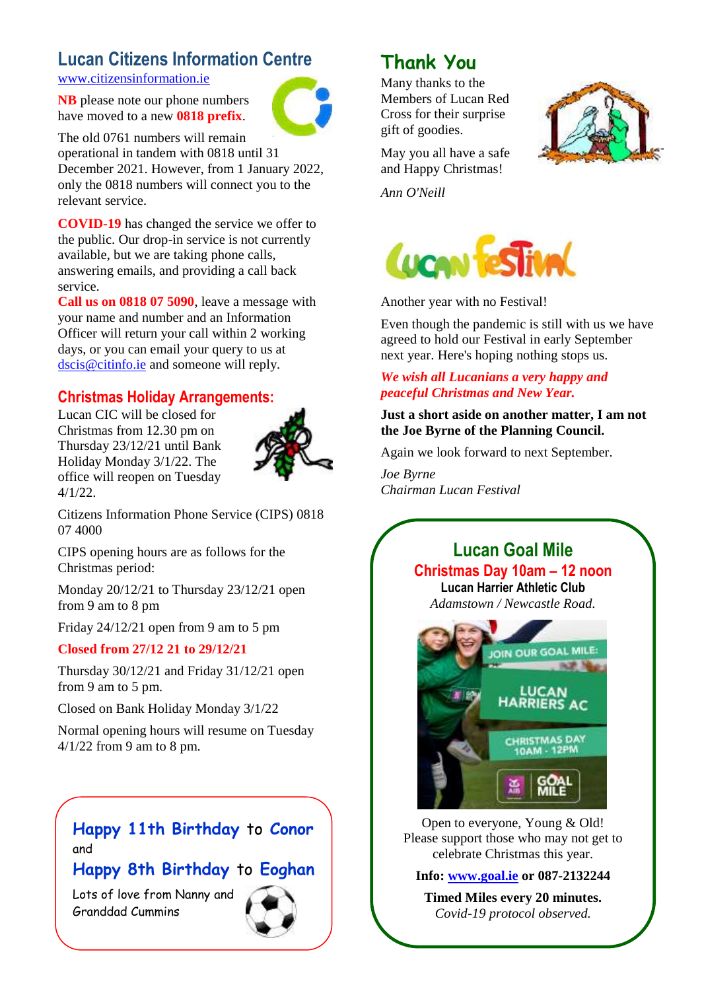# **Lucan Citizens Information Centre**

[www.citizensinformation.ie](http://www.citizensinformation.ie/)

**NB** please note our phone numbers have moved to a new **0818 prefix**.



The old 0761 numbers will remain operational in tandem with 0818 until 31 December 2021. However, from 1 January 2022, only the 0818 numbers will connect you to the relevant service.

**COVID-19** has changed the service we offer to the public. Our drop-in service is not currently available, but we are taking phone calls, answering emails, and providing a call back service.

**Call us on 0818 07 5090**, leave a message with your name and number and an Information Officer will return your call within 2 working days, or you can email your query to us at [dscis@citinfo.ie](mailto:dscis@citinfo.ie) and someone will reply.

## **Christmas Holiday Arrangements:**

Lucan CIC will be closed for Christmas from 12.30 pm on Thursday 23/12/21 until Bank Holiday Monday 3/1/22. The office will reopen on Tuesday 4/1/22.



Citizens Information Phone Service (CIPS) 0818 07 4000

CIPS opening hours are as follows for the Christmas period:

Monday 20/12/21 to Thursday 23/12/21 open from 9 am to 8 pm

Friday 24/12/21 open from 9 am to 5 pm

#### **Closed from 27/12 21 to 29/12/21**

Thursday 30/12/21 and Friday 31/12/21 open from 9 am to 5 pm.

Closed on Bank Holiday Monday 3/1/22

Normal opening hours will resume on Tuesday 4/1/22 from 9 am to 8 pm.

## **Happy 11th Birthday** to **Conor**  and

## **Happy 8th Birthday** to **Eoghan**

Lots of love from Nanny and Granddad Cummins



Members of Lucan Red Cross for their surprise gift of goodies.



May you all have a safe and Happy Christmas!

*Ann O'Neill*



Another year with no Festival!

Even though the pandemic is still with us we have agreed to hold our Festival in early September next year. Here's hoping nothing stops us.

### *We wish all Lucanians a very happy and peaceful Christmas and New Year.*

**Just a short aside on another matter, I am not the Joe Byrne of the Planning Council.**

Again we look forward to next September.

*Joe Byrne Chairman Lucan Festival*

## **Lucan Goal Mile Christmas Day 10am – 12 noon Lucan Harrier Athletic Club**

*Adamstown / Newcastle Road.*



Open to everyone, Young & Old! Please support those who may not get to celebrate Christmas this year.

**Info: [www.goal.ie](http://www.goal.ie/) or 087-2132244**

**Timed Miles every 20 minutes.** *Covid-19 protocol observed.*

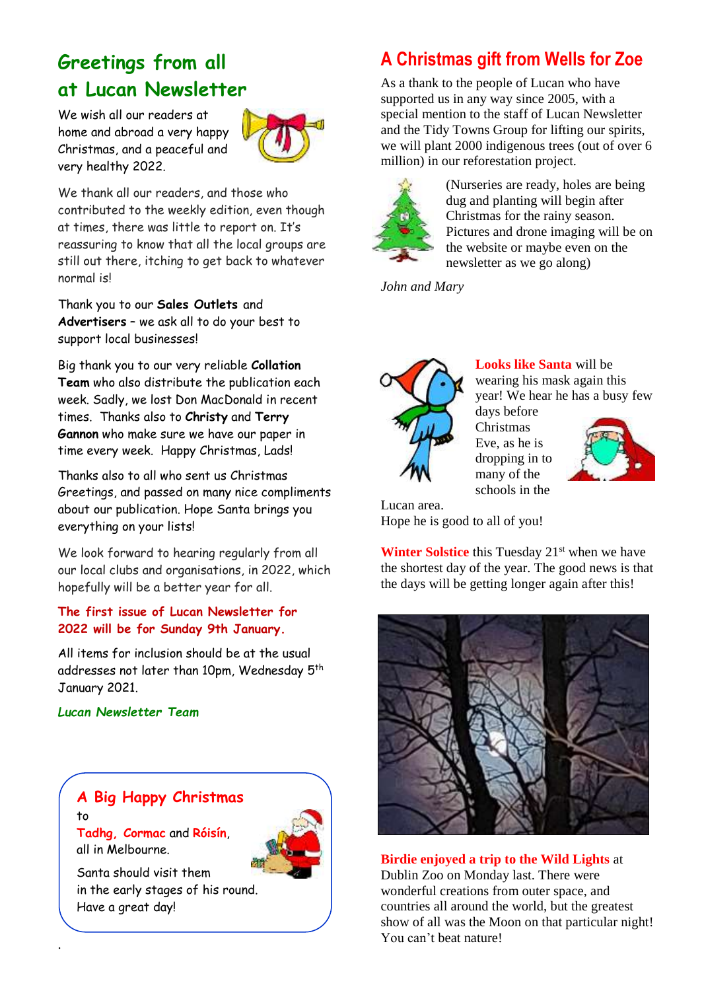# **Greetings from all at Lucan Newsletter**

We wish all our readers at home and abroad a very happy Christmas, and a peaceful and very healthy 2022.



We thank all our readers, and those who contributed to the weekly edition, even though at times, there was little to report on. It's reassuring to know that all the local groups are still out there, itching to get back to whatever normal is!

Thank you to our **Sales Outlets** and **Advertisers** – we ask all to do your best to support local businesses!

Big thank you to our very reliable **Collation Team** who also distribute the publication each week. Sadly, we lost Don MacDonald in recent times. Thanks also to **Christy** and **Terry Gannon** who make sure we have our paper in time every week. Happy Christmas, Lads!

Thanks also to all who sent us Christmas Greetings, and passed on many nice compliments about our publication. Hope Santa brings you everything on your lists!

We look forward to hearing regularly from all our local clubs and organisations, in 2022, which hopefully will be a better year for all.

### **The first issue of Lucan Newsletter for 2022 will be for Sunday 9th January.**

All items for inclusion should be at the usual addresses not later than 10pm, Wednesday 5<sup>th</sup> January 2021.

#### *Lucan Newsletter Team*

all in Melbourne.

.

to



Santa should visit them in the early stages of his round. Have a great day!

# **A Christmas gift from Wells for Zoe**

As a thank to the people of Lucan who have supported us in any way since 2005, with a special mention to the staff of Lucan Newsletter and the Tidy Towns Group for lifting our spirits, we will plant 2000 indigenous trees (out of over 6 million) in our reforestation project.



(Nurseries are ready, holes are being dug and planting will begin after Christmas for the rainy season. Pictures and drone imaging will be on the website or maybe even on the newsletter as we go along)

*John and Mary*



**Looks like Santa** will be wearing his mask again this year! We hear he has a busy few days before

Lucan area. Hope he is good to all of you!

**Winter Solstice** this Tuesday 21<sup>st</sup> when we have the shortest day of the year. The good news is that the days will be getting longer again after this!

Christmas Eve, as he is dropping in to many of the schools in the



**Birdie enjoyed a trip to the Wild Lights** at Dublin Zoo on Monday last. There were wonderful creations from outer space, and countries all around the world, but the greatest show of all was the Moon on that particular night! You can't beat nature!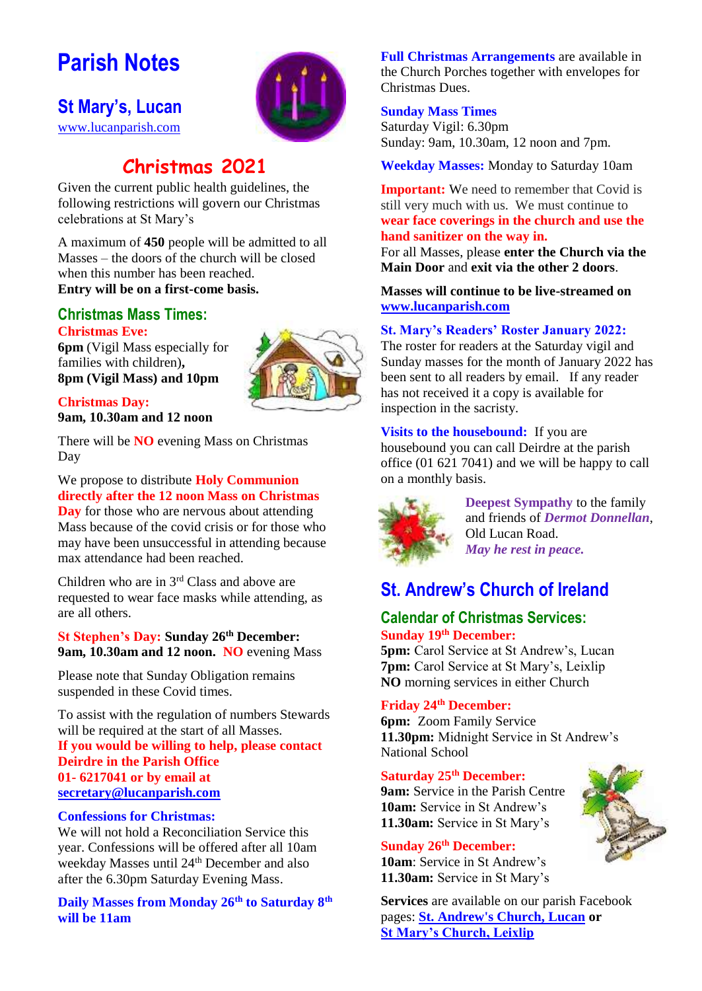# **Parish Notes**

## **St Mary's, Lucan**

[www.lucanparish.com](http://www.lucanparish.com/)



# **Christmas 2021**

Given the current public health guidelines, the following restrictions will govern our Christmas celebrations at St Mary's

A maximum of **450** people will be admitted to all Masses – the doors of the church will be closed when this number has been reached. **Entry will be on a first-come basis.** 

#### **Christmas Mass Times: Christmas Eve:**

**6pm** (Vigil Mass especially for families with children)**, 8pm (Vigil Mass) and 10pm**

### **Christmas Day: 9am, 10.30am and 12 noon**

There will be **NO** evening Mass on Christmas Day

## We propose to distribute **Holy Communion directly after the 12 noon Mass on Christmas**

**Day** for those who are nervous about attending Mass because of the covid crisis or for those who may have been unsuccessful in attending because max attendance had been reached.

Children who are in 3rd Class and above are requested to wear face masks while attending, as are all others.

#### **St Stephen's Day: Sunday 26th December: 9am, 10.30am and 12 noon. NO** evening Mass

Please note that Sunday Obligation remains suspended in these Covid times.

To assist with the regulation of numbers Stewards will be required at the start of all Masses. **If you would be willing to help, please contact Deirdre in the Parish Office 01- 6217041 or by email at [secretary@lucanparish.com](mailto:secretary@lucanparish.com)**

#### **Confessions for Christmas:**

We will not hold a Reconciliation Service this year. Confessions will be offered after all 10am weekday Masses until 24<sup>th</sup> December and also after the 6.30pm Saturday Evening Mass.

**Daily Masses from Monday 26th to Saturday 8th will be 11am** 

**Full Christmas Arrangements** are available in the Church Porches together with envelopes for Christmas Dues.

#### **Sunday Mass Times**

Saturday Vigil: 6.30pm Sunday: 9am, 10.30am, 12 noon and 7pm.

**Weekday Masses:** Monday to Saturday 10am

**Important:** We need to remember that Covid is still very much with us. We must continue to **wear face coverings in the church and use the hand sanitizer on the way in.**

For all Masses, please **enter the Church via the Main Door** and **exit via the other 2 doors**.

**Masses will continue to be live-streamed on [www.lucanparish.com](http://www.lucanparish.com/)**

#### **St. Mary's Readers' Roster January 2022:**

The roster for readers at the Saturday vigil and Sunday masses for the month of January 2022 has been sent to all readers by email. If any reader has not received it a copy is available for inspection in the sacristy.

**Visits to the housebound:** If you are housebound you can call Deirdre at the parish office (01 621 7041) and we will be happy to call on a monthly basis.



**Deepest Sympathy** to the family and friends of *Dermot Donnellan*, Old Lucan Road. *May he rest in peace.* 

# **St. Andrew's Church of Ireland**

#### **Calendar of Christmas Services: Sunday 19th December:**

**5pm:** Carol Service at St Andrew's, Lucan **7pm:** Carol Service at St Mary's, Leixlip **NO** morning services in either Church

#### **Friday 24th December:**

**6pm:** Zoom Family Service **11.30pm:** Midnight Service in St Andrew's National School

#### **Saturday 25th December:**

**9am:** Service in the Parish Centre **10am:** Service in St Andrew's **11.30am:** Service in St Mary's

### **Sunday 26th December:**

**10am**: Service in St Andrew's **11.30am:** Service in St Mary's

**Services** are available on our parish Facebook pages: **[St. Andrew's Church, Lucan](https://www.facebook.com/standrewslucan/) or [St Mary's Church, Leixlip](https://www.facebook.com/stmarysleixlip/)**



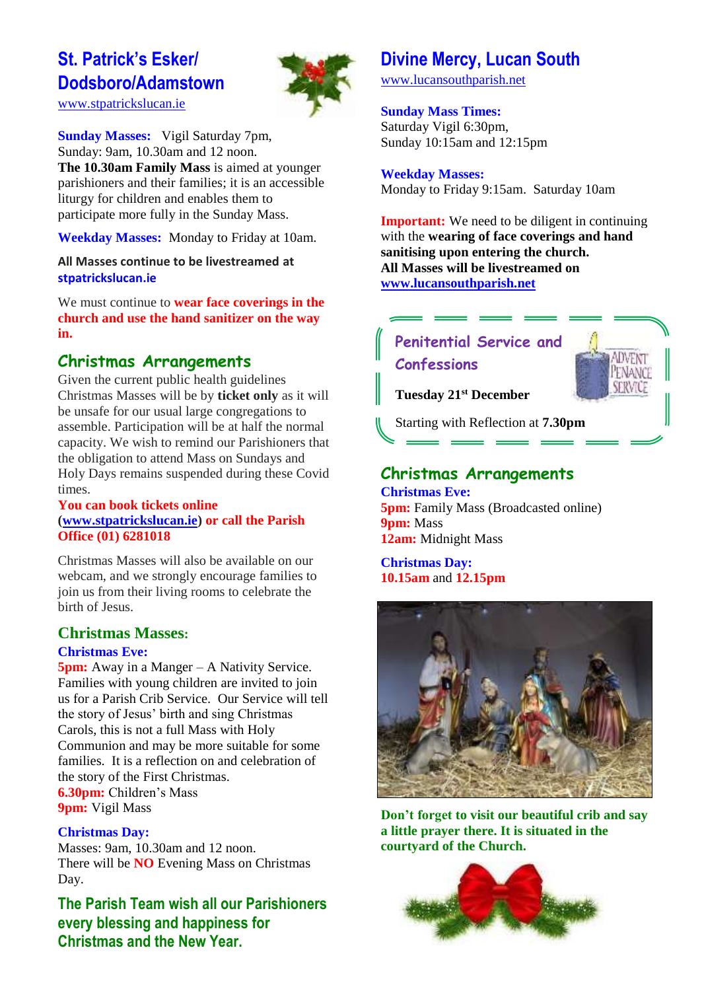# **St. Patrick's Esker/ Dodsboro/Adamstown**

[www.stpatrickslucan.ie](http://www.stpatrickslucan.ie/)



**Sunday Masses:** Vigil Saturday 7pm, Sunday: 9am, 10.30am and 12 noon. **The 10.30am Family Mass** is aimed at younger parishioners and their families; it is an accessible liturgy for children and enables them to participate more fully in the Sunday Mass.

**Weekday Masses:** Monday to Friday at 10am.

**All Masses continue to be livestreamed at stpatrickslucan.ie**

We must continue to **wear face coverings in the church and use the hand sanitizer on the way in.**

## **Christmas Arrangements**

Given the current public health guidelines Christmas Masses will be by **ticket only** as it will be unsafe for our usual large congregations to assemble. Participation will be at half the normal capacity. We wish to remind our Parishioners that the obligation to attend Mass on Sundays and Holy Days remains suspended during these Covid times.

#### **You can book tickets online [\(www.stpatrickslucan.ie\)](http://www.stpatrickslucan.ie/) or call the Parish Office (01) 6281018**

Christmas Masses will also be available on our webcam, and we strongly encourage families to join us from their living rooms to celebrate the birth of Jesus.

#### **Christmas Masses:**

#### **Christmas Eve:**

**5pm:** Away in a Manger – A Nativity Service. Families with young children are invited to join us for a Parish Crib Service. Our Service will tell the story of Jesus' birth and sing Christmas Carols, this is not a full Mass with Holy Communion and may be more suitable for some families. It is a reflection on and celebration of the story of the First Christmas. **6.30pm:** Children's Mass **9pm:** Vigil Mass

#### **Christmas Day:**

Masses: 9am, 10.30am and 12 noon. There will be **NO** Evening Mass on Christmas Day.

**The Parish Team wish all our Parishioners every blessing and happiness for Christmas and the New Year.** 

# **Divine Mercy, Lucan South**

[www.lucansouthparish.net](http://www.lucansouthparish.net/)

#### **Sunday Mass Times:**

Saturday Vigil 6:30pm, Sunday 10:15am and 12:15pm

**Weekday Masses:** Monday to Friday 9:15am. Saturday 10am

**Important:** We need to be diligent in continuing with the **wearing of face coverings and hand sanitising upon entering the church. All Masses will be livestreamed on [www.lucansouthparish.net](http://www.lucansouthparish.net/)**





**Tuesday 21st December**

Starting with Reflection at **7.30pm**

# **Christmas Arrangements**

**Christmas Eve: 5pm:** Family Mass (Broadcasted online) **9pm:** Mass **12am:** Midnight Mass

**Christmas Day: 10.15am** and **12.15pm**



**Don't forget to visit our beautiful crib and say a little prayer there. It is situated in the courtyard of the Church.**

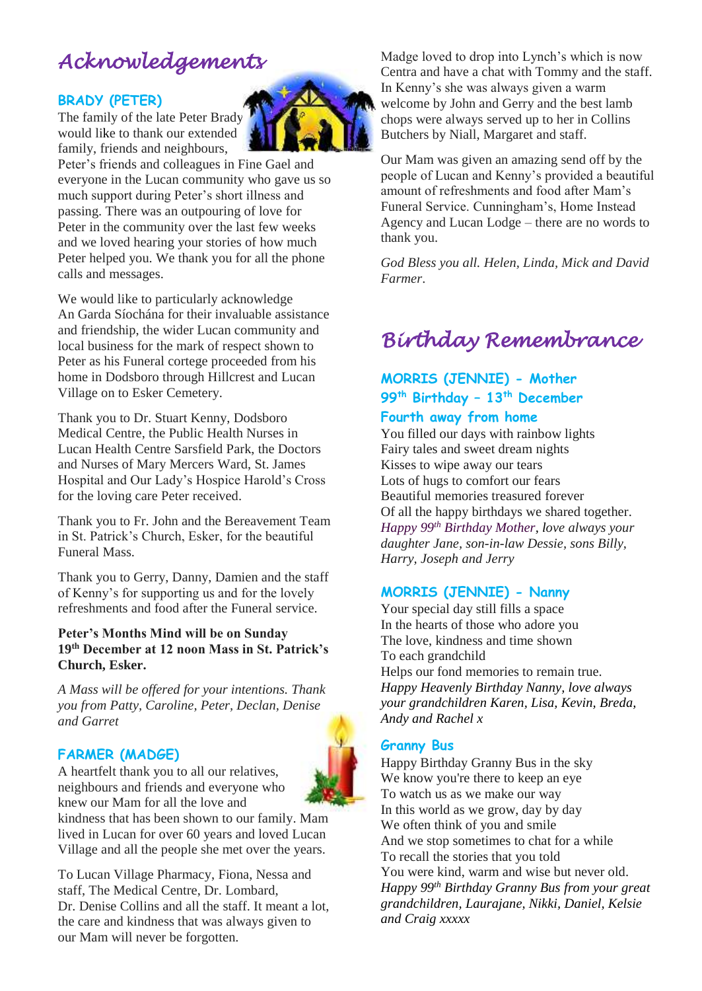# *Acknowledgements*

#### **BRADY (PETER)**

The family of the late Peter Brady would like to thank our extended family, friends and neighbours,



Peter's friends and colleagues in Fine Gael and everyone in the Lucan community who gave us so much support during Peter's short illness and passing. There was an outpouring of love for Peter in the community over the last few weeks and we loved hearing your stories of how much Peter helped you. We thank you for all the phone calls and messages.

We would like to particularly acknowledge An Garda Síochána for their invaluable assistance and friendship, the wider Lucan community and local business for the mark of respect shown to Peter as his Funeral cortege proceeded from his home in Dodsboro through Hillcrest and Lucan Village on to Esker Cemetery.

Thank you to Dr. Stuart Kenny, Dodsboro Medical Centre, the Public Health Nurses in Lucan Health Centre Sarsfield Park, the Doctors and Nurses of Mary Mercers Ward, St. James Hospital and Our Lady's Hospice Harold's Cross for the loving care Peter received.

Thank you to Fr. John and the Bereavement Team in St. Patrick's Church, Esker, for the beautiful Funeral Mass.

Thank you to Gerry, Danny, Damien and the staff of Kenny's for supporting us and for the lovely refreshments and food after the Funeral service.

#### **Peter's Months Mind will be on Sunday 19th December at 12 noon Mass in St. Patrick's Church, Esker.**

*A Mass will be offered for your intentions. Thank you from Patty, Caroline, Peter, Declan, Denise and Garret*

#### **FARMER (MADGE)**

A heartfelt thank you to all our relatives, neighbours and friends and everyone who knew our Mam for all the love and



kindness that has been shown to our family. Mam lived in Lucan for over 60 years and loved Lucan Village and all the people she met over the years.

To Lucan Village Pharmacy, Fiona, Nessa and staff, The Medical Centre, Dr. Lombard, Dr. Denise Collins and all the staff. It meant a lot, the care and kindness that was always given to our Mam will never be forgotten.

Madge loved to drop into Lynch's which is now Centra and have a chat with Tommy and the staff. In Kenny's she was always given a warm welcome by John and Gerry and the best lamb chops were always served up to her in Collins Butchers by Niall, Margaret and staff.

Our Mam was given an amazing send off by the people of Lucan and Kenny's provided a beautiful amount of refreshments and food after Mam's Funeral Service. Cunningham's, Home Instead Agency and Lucan Lodge – there are no words to thank you.

*God Bless you all. Helen, Linda, Mick and David Farmer*.

# *Birthday Remembrance*

## **MORRIS (JENNIE) - Mother 99th Birthday – 13th December Fourth away from home**

You filled our days with rainbow lights Fairy tales and sweet dream nights Kisses to wipe away our tears Lots of hugs to comfort our fears Beautiful memories treasured forever Of all the happy birthdays we shared together. *Happy 99th Birthday Mother, love always your daughter Jane, son-in-law Dessie, sons Billy, Harry, Joseph and Jerry*

## **MORRIS (JENNIE) - Nanny**

Your special day still fills a space In the hearts of those who adore you The love, kindness and time shown To each grandchild Helps our fond memories to remain true. *Happy Heavenly Birthday Nanny, love always your grandchildren Karen, Lisa, Kevin, Breda, Andy and Rachel x*

#### **Granny Bus**

Happy Birthday Granny Bus in the sky We know you're there to keep an eye To watch us as we make our way In this world as we grow, day by day We often think of you and smile And we stop sometimes to chat for a while To recall the stories that you told You were kind, warm and wise but never old. *Happy 99th Birthday Granny Bus from your great grandchildren, Laurajane, Nikki, Daniel, Kelsie and Craig xxxxx*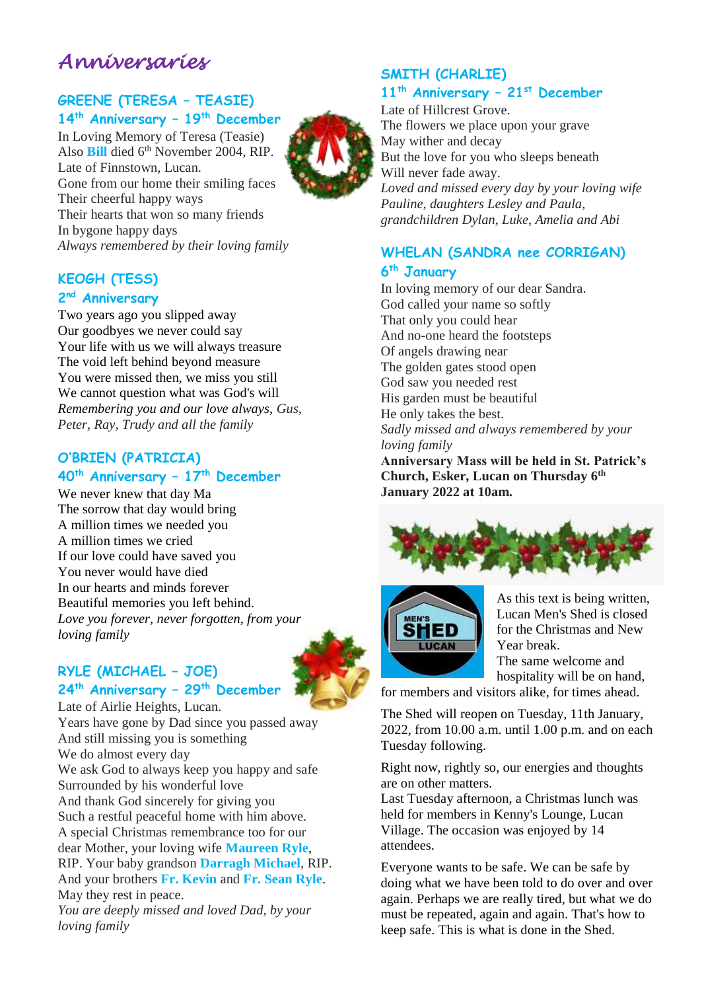# *Anniversaries*

### **GREENE (TERESA – TEASIE) 14th Anniversary – 19th December**

In Loving Memory of Teresa (Teasie) Also **Bill** died 6th November 2004, RIP. Late of Finnstown, Lucan. Gone from our home their smiling faces Their cheerful happy ways Their hearts that won so many friends In bygone happy days *Always remembered by their loving family*

## **KEOGH (TESS)**

#### **2 nd Anniversary**

Two years ago you slipped away Our goodbyes we never could say Your life with us we will always treasure The void left behind beyond measure You were missed then, we miss you still We cannot question what was God's will *Remembering you and our love always, Gus, Peter, Ray, Trudy and all the family*

### **O'BRIEN (PATRICIA) 40th Anniversary – 17th December**

We never knew that day Ma The sorrow that day would bring A million times we needed you A million times we cried If our love could have saved you You never would have died In our hearts and minds forever Beautiful memories you left behind. *Love you forever, never forgotten, from your loving family*

## **RYLE (MICHAEL – JOE) 24th Anniversary – 29th December**



Late of Airlie Heights, Lucan. Years have gone by Dad since you passed away And still missing you is something We do almost every day We ask God to always keep you happy and safe Surrounded by his wonderful love And thank God sincerely for giving you Such a restful peaceful home with him above. A special Christmas remembrance too for our dear Mother, your loving wife **Maureen Ryle**, RIP. Your baby grandson **Darragh Michael**, RIP. And your brothers **Fr. Kevin** and **Fr. Sean Ryle**. May they rest in peace. *You are deeply missed and loved Dad, by your loving family*

## **SMITH (CHARLIE)**

### **11th Anniversary – 21st December**

Late of Hillcrest Grove. The flowers we place upon your grave May wither and decay But the love for you who sleeps beneath Will never fade away. *Loved and missed every day by your loving wife Pauline, daughters Lesley and Paula, grandchildren Dylan, Luke, Amelia and Abi*

## **WHELAN (SANDRA nee CORRIGAN) 6 th January**

In loving memory of our dear Sandra. God called your name so softly That only you could hear And no-one heard the footsteps Of angels drawing near The golden gates stood open God saw you needed rest His garden must be beautiful He only takes the best. *Sadly missed and always remembered by your loving family* **Anniversary Mass will be held in St. Patrick's** 

**Church, Esker, Lucan on Thursday 6th January 2022 at 10am.**





As this text is being written, Lucan Men's Shed is closed for the Christmas and New Year break.

The same welcome and hospitality will be on hand,

for members and visitors alike, for times ahead.

The Shed will reopen on Tuesday, 11th January, 2022, from 10.00 a.m. until 1.00 p.m. and on each Tuesday following.

Right now, rightly so, our energies and thoughts are on other matters.

Last Tuesday afternoon, a Christmas lunch was held for members in Kenny's Lounge, Lucan Village. The occasion was enjoyed by 14 attendees.

Everyone wants to be safe. We can be safe by doing what we have been told to do over and over again. Perhaps we are really tired, but what we do must be repeated, again and again. That's how to keep safe. This is what is done in the Shed.

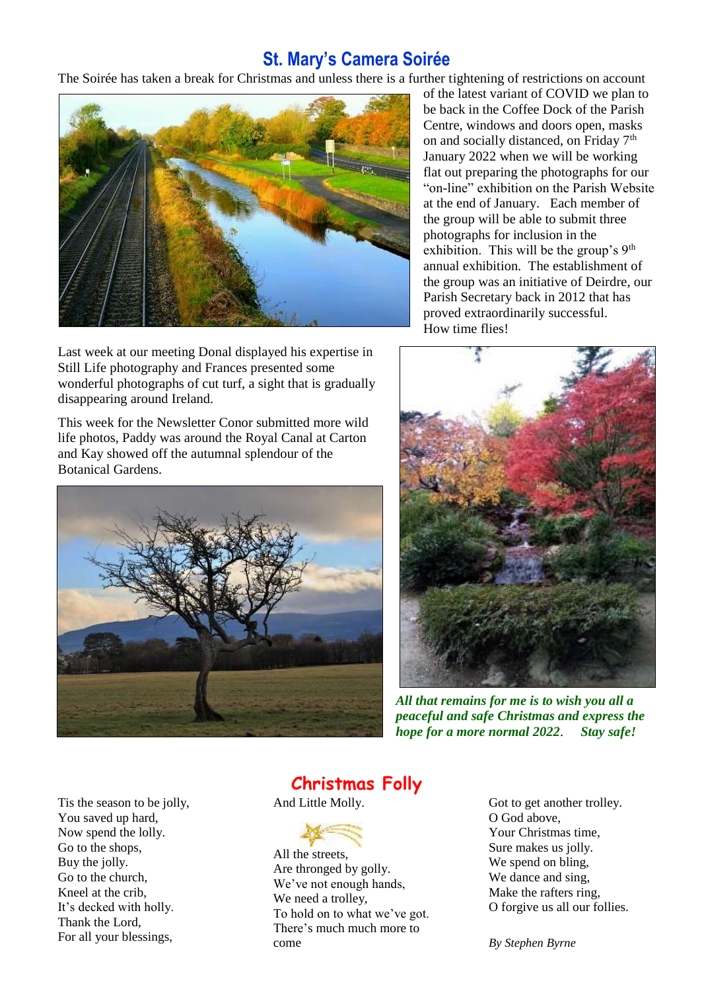## **St. Mary's Camera Soirée**

The Soirée has taken a break for Christmas and unless there is a further tightening of restrictions on account



Last week at our meeting Donal displayed his expertise in Still Life photography and Frances presented some wonderful photographs of cut turf, a sight that is gradually disappearing around Ireland.

This week for the Newsletter Conor submitted more wild life photos, Paddy was around the Royal Canal at Carton and Kay showed off the autumnal splendour of the Botanical Gardens.



of the latest variant of COVID we plan to be back in the Coffee Dock of the Parish Centre, windows and doors open, masks on and socially distanced, on Friday 7<sup>th</sup> January 2022 when we will be working flat out preparing the photographs for our "on-line" exhibition on the Parish Website at the end of January. Each member of the group will be able to submit three photographs for inclusion in the exhibition. This will be the group's 9<sup>th</sup> annual exhibition. The establishment of the group was an initiative of Deirdre, our Parish Secretary back in 2012 that has proved extraordinarily successful. How time flies!



*All that remains for me is to wish you all a peaceful and safe Christmas and express the hope for a more normal 2022*. *Stay safe!* 

Tis the season to be jolly, You saved up hard, Now spend the lolly. Go to the shops, Buy the jolly. Go to the church, Kneel at the crib, It's decked with holly. Thank the Lord, For all your blessings,

## **Christmas Folly**

And Little Molly.



All the streets, Are thronged by golly. We've not enough hands, We need a trolley, To hold on to what we've got. There's much much more to come

Got to get another trolley. O God above, Your Christmas time, Sure makes us jolly. We spend on bling, We dance and sing, Make the rafters ring, O forgive us all our follies.

*By Stephen Byrne*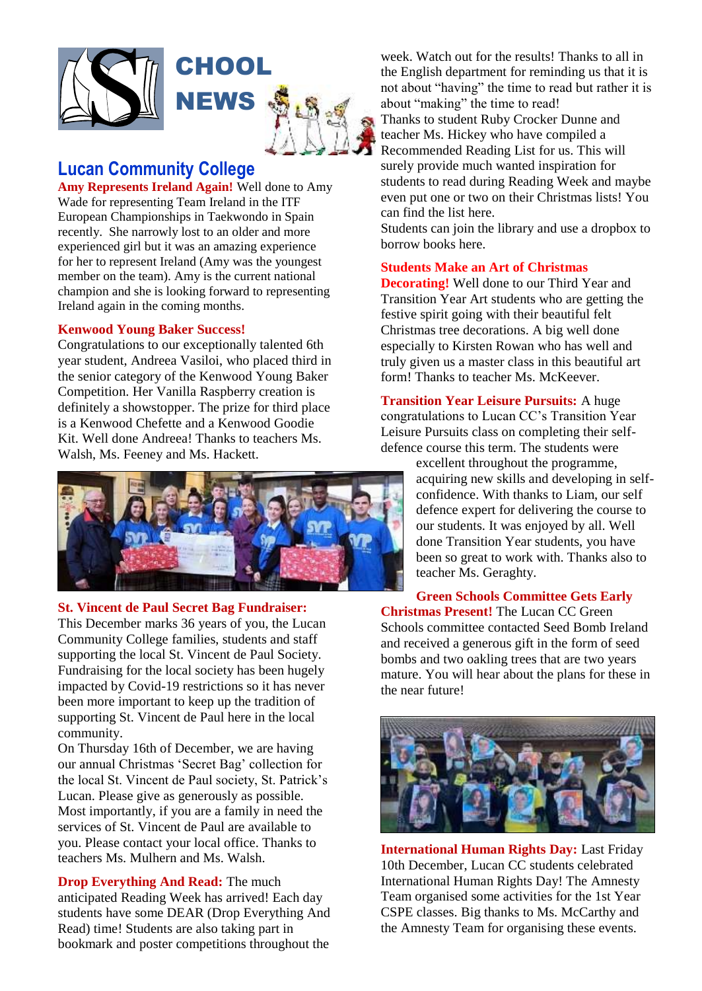

## **Lucan Community College**

**Amy Represents Ireland Again!** Well done to Amy Wade for representing Team Ireland in the ITF European Championships in Taekwondo in Spain recently. She narrowly lost to an older and more experienced girl but it was an amazing experience for her to represent Ireland (Amy was the youngest member on the team). Amy is the current national champion and she is looking forward to representing Ireland again in the coming months.

#### **Kenwood Young Baker Success!**

Congratulations to our exceptionally talented 6th year student, Andreea Vasiloi, who placed third in the senior category of the Kenwood Young Baker Competition. Her Vanilla Raspberry creation is definitely a showstopper. The prize for third place is a Kenwood Chefette and a Kenwood Goodie Kit. Well done Andreea! Thanks to teachers Ms. Walsh, Ms. Feeney and Ms. Hackett.



#### **St. Vincent de Paul Secret Bag Fundraiser:**

This December marks 36 years of you, the Lucan Community College families, students and staff supporting the local St. Vincent de Paul Society. Fundraising for the local society has been hugely impacted by Covid-19 restrictions so it has never been more important to keep up the tradition of supporting St. Vincent de Paul here in the local community.

On Thursday 16th of December, we are having our annual Christmas 'Secret Bag' collection for the local St. Vincent de Paul society, St. Patrick's Lucan. Please give as generously as possible. Most importantly, if you are a family in need the services of St. Vincent de Paul are available to you. Please contact your local office. Thanks to teachers Ms. Mulhern and Ms. Walsh.

**Drop Everything And Read:** The much anticipated Reading Week has arrived! Each day students have some DEAR (Drop Everything And Read) time! Students are also taking part in bookmark and poster competitions throughout the

week. Watch out for the results! Thanks to all in the English department for reminding us that it is not about "having" the time to read but rather it is about "making" the time to read! Thanks to student Ruby Crocker Dunne and teacher Ms. Hickey who have compiled a Recommended Reading List for us. This will surely provide much wanted inspiration for students to read during Reading Week and maybe even put one or two on their Christmas lists! You can find the list here.

Students can join the library and use a dropbox to borrow books here.

#### **Students Make an Art of Christmas**

**Decorating!** Well done to our Third Year and Transition Year Art students who are getting the festive spirit going with their beautiful felt Christmas tree decorations. A big well done especially to Kirsten Rowan who has well and truly given us a master class in this beautiful art form! Thanks to teacher Ms. McKeever.

**Transition Year Leisure Pursuits:** A huge congratulations to Lucan CC's Transition Year Leisure Pursuits class on completing their selfdefence course this term. The students were

> excellent throughout the programme, acquiring new skills and developing in selfconfidence. With thanks to Liam, our self defence expert for delivering the course to our students. It was enjoyed by all. Well done Transition Year students, you have been so great to work with. Thanks also to teacher Ms. Geraghty.

**Green Schools Committee Gets Early Christmas Present!** The Lucan CC Green Schools committee contacted Seed Bomb Ireland and received a generous gift in the form of seed bombs and two oakling trees that are two years mature. You will hear about the plans for these in the near future!



**International Human Rights Day:** Last Friday 10th December, Lucan CC students celebrated International Human Rights Day! The Amnesty Team organised some activities for the 1st Year CSPE classes. Big thanks to Ms. McCarthy and the Amnesty Team for organising these events.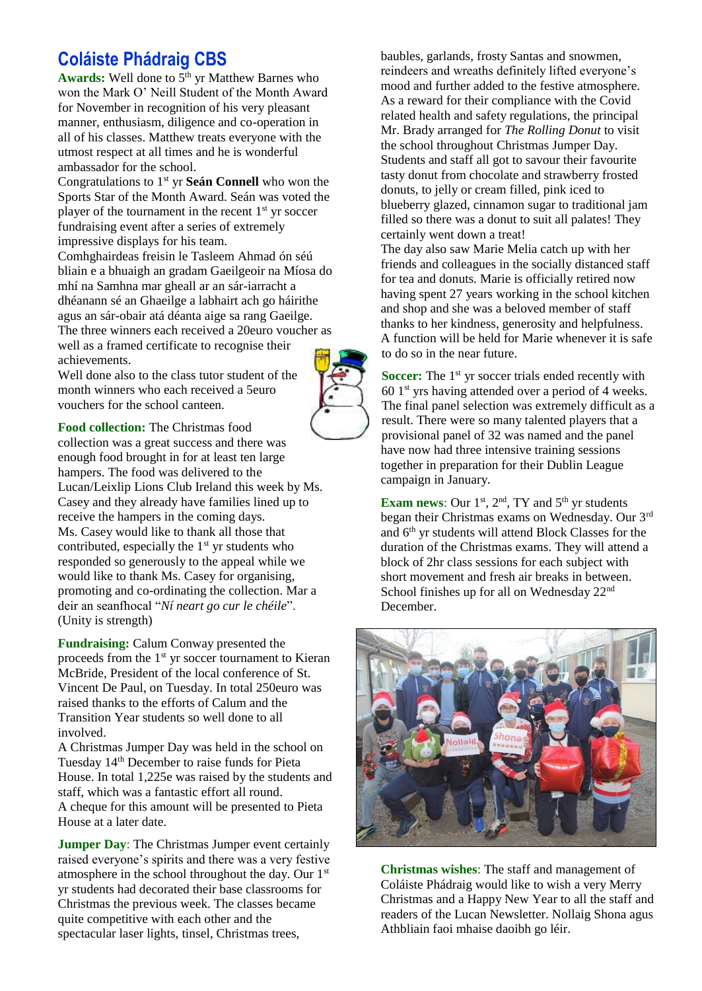# **Coláiste Phádraig CBS**

Awards: Well done to 5<sup>th</sup> yr Matthew Barnes who won the Mark O' Neill Student of the Month Award for November in recognition of his very pleasant manner, enthusiasm, diligence and co-operation in all of his classes. Matthew treats everyone with the utmost respect at all times and he is wonderful ambassador for the school.

Congratulations to 1<sup>st</sup> yr **Seán Connell** who won the Sports Star of the Month Award. Seán was voted the player of the tournament in the recent 1<sup>st</sup> yr soccer fundraising event after a series of extremely impressive displays for his team.

Comhghairdeas freisin le Tasleem Ahmad ón séú bliain e a bhuaigh an gradam Gaeilgeoir na Míosa do mhí na Samhna mar gheall ar an sár-iarracht a dhéanann sé an Ghaeilge a labhairt ach go háirithe agus an sár-obair atá déanta aige sa rang Gaeilge. The three winners each received a 20euro voucher as well as a framed certificate to recognise their achievements.

Well done also to the class tutor student of the month winners who each received a 5euro vouchers for the school canteen.

**Food collection:** The Christmas food collection was a great success and there was enough food brought in for at least ten large hampers. The food was delivered to the Lucan/Leixlip Lions Club Ireland this week by Ms. Casey and they already have families lined up to receive the hampers in the coming days. Ms. Casey would like to thank all those that contributed, especially the  $1<sup>st</sup>$  yr students who responded so generously to the appeal while we would like to thank Ms. Casey for organising, promoting and co-ordinating the collection. Mar a deir an seanfhocal "*Ní neart go cur le chéile*". (Unity is strength)

**Fundraising:** Calum Conway presented the proceeds from the 1<sup>st</sup> yr soccer tournament to Kieran McBride, President of the local conference of St. Vincent De Paul, on Tuesday. In total 250euro was raised thanks to the efforts of Calum and the Transition Year students so well done to all involved.

A Christmas Jumper Day was held in the school on Tuesday 14th December to raise funds for Pieta House. In total 1,225e was raised by the students and staff, which was a fantastic effort all round. A cheque for this amount will be presented to Pieta House at a later date.

**Jumper Day**: The Christmas Jumper event certainly raised everyone's spirits and there was a very festive atmosphere in the school throughout the day. Our  $1<sup>st</sup>$ yr students had decorated their base classrooms for Christmas the previous week. The classes became quite competitive with each other and the spectacular laser lights, tinsel, Christmas trees,

baubles, garlands, frosty Santas and snowmen, reindeers and wreaths definitely lifted everyone's mood and further added to the festive atmosphere. As a reward for their compliance with the Covid related health and safety regulations, the principal Mr. Brady arranged for *The Rolling Donut* to visit the school throughout Christmas Jumper Day. Students and staff all got to savour their favourite tasty donut from chocolate and strawberry frosted donuts, to jelly or cream filled, pink iced to blueberry glazed, cinnamon sugar to traditional jam filled so there was a donut to suit all palates! They certainly went down a treat!

The day also saw Marie Melia catch up with her friends and colleagues in the socially distanced staff for tea and donuts. Marie is officially retired now having spent 27 years working in the school kitchen and shop and she was a beloved member of staff thanks to her kindness, generosity and helpfulness. A function will be held for Marie whenever it is safe to do so in the near future.

**Soccer:** The 1<sup>st</sup> yr soccer trials ended recently with  $601<sup>st</sup>$  yrs having attended over a period of 4 weeks. The final panel selection was extremely difficult as a result. There were so many talented players that a provisional panel of 32 was named and the panel have now had three intensive training sessions together in preparation for their Dublin League campaign in January.

**Exam news:** Our  $1<sup>st</sup>$ ,  $2<sup>nd</sup>$ , TY and  $5<sup>th</sup>$  yr students began their Christmas exams on Wednesday. Our 3rd and 6th yr students will attend Block Classes for the duration of the Christmas exams. They will attend a block of 2hr class sessions for each subject with short movement and fresh air breaks in between. School finishes up for all on Wednesday 22<sup>nd</sup> December.



**Christmas wishes**: The staff and management of Coláiste Phádraig would like to wish a very Merry Christmas and a Happy New Year to all the staff and readers of the Lucan Newsletter. Nollaig Shona agus Athbliain faoi mhaise daoibh go léir.

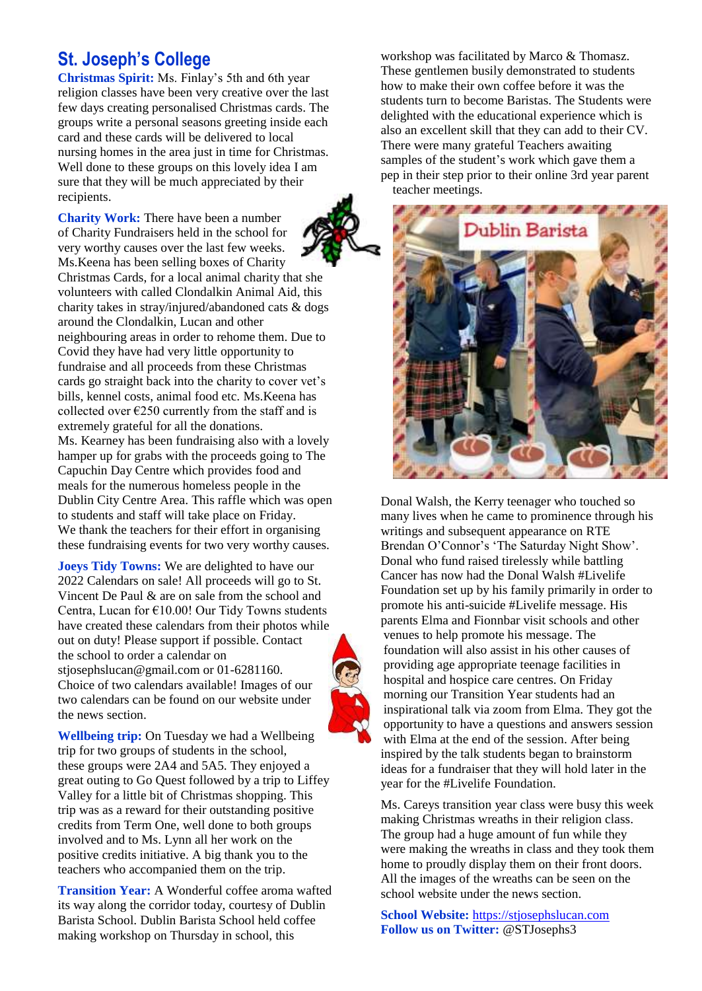# **St. Joseph's College**

**Christmas Spirit:** Ms. Finlay's 5th and 6th year religion classes have been very creative over the last few days creating personalised Christmas cards. The groups write a personal seasons greeting inside each card and these cards will be delivered to local nursing homes in the area just in time for Christmas. Well done to these groups on this lovely idea I am sure that they will be much appreciated by their recipients.

**Charity Work:** There have been a number of Charity Fundraisers held in the school for very worthy causes over the last few weeks. Ms.Keena has been selling boxes of Charity Christmas Cards, for a local animal charity that she volunteers with called Clondalkin Animal Aid, this charity takes in stray/injured/abandoned cats & dogs around the Clondalkin, Lucan and other neighbouring areas in order to rehome them. Due to Covid they have had very little opportunity to fundraise and all proceeds from these Christmas cards go straight back into the charity to cover vet's bills, kennel costs, animal food etc. Ms.Keena has collected over  $\epsilon$ 250 currently from the staff and is extremely grateful for all the donations. Ms. Kearney has been fundraising also with a lovely hamper up for grabs with the proceeds going to The Capuchin Day Centre which provides food and meals for the numerous homeless people in the Dublin City Centre Area. This raffle which was open

to students and staff will take place on Friday. We thank the teachers for their effort in organising these fundraising events for two very worthy causes.

**Joeys Tidy Towns:** We are delighted to have our 2022 Calendars on sale! All proceeds will go to St. Vincent De Paul & are on sale from the school and Centra, Lucan for €10.00! Our Tidy Towns students have created these calendars from their photos while out on duty! Please support if possible. Contact the school to order a calendar on stjosephslucan@gmail.com or 01-6281160. Choice of two calendars available! Images of our two calendars can be found on our website under the news section.

**Wellbeing trip:** On Tuesday we had a Wellbeing trip for two groups of students in the school, these groups were 2A4 and 5A5. They enjoyed a great outing to Go Quest followed by a trip to Liffey Valley for a little bit of Christmas shopping. This trip was as a reward for their outstanding positive credits from Term One, well done to both groups involved and to Ms. Lynn all her work on the positive credits initiative. A big thank you to the teachers who accompanied them on the trip.

**Transition Year:** A Wonderful coffee aroma wafted its way along the corridor today, courtesy of Dublin Barista School. Dublin Barista School held coffee making workshop on Thursday in school, this

workshop was facilitated by Marco & Thomasz. These gentlemen busily demonstrated to students how to make their own coffee before it was the students turn to become Baristas. The Students were delighted with the educational experience which is also an excellent skill that they can add to their CV. There were many grateful Teachers awaiting samples of the student's work which gave them a pep in their step prior to their online 3rd year parent teacher meetings.



Donal Walsh, the Kerry teenager who touched so many lives when he came to prominence through his writings and subsequent appearance on RTE Brendan O'Connor's 'The Saturday Night Show'. Donal who fund raised tirelessly while battling Cancer has now had the Donal Walsh #Livelife Foundation set up by his family primarily in order to promote his anti-suicide #Livelife message. His parents Elma and Fionnbar visit schools and other venues to help promote his message. The foundation will also assist in his other causes of providing age appropriate teenage facilities in hospital and hospice care centres. On Friday morning our Transition Year students had an inspirational talk via zoom from Elma. They got the opportunity to have a questions and answers session with Elma at the end of the session. After being inspired by the talk students began to brainstorm ideas for a fundraiser that they will hold later in the year for the #Livelife Foundation.

Ms. Careys transition year class were busy this week making Christmas wreaths in their religion class. The group had a huge amount of fun while they were making the wreaths in class and they took them home to proudly display them on their front doors. All the images of the wreaths can be seen on the school website under the news section.

**School Website:** [https://stjosephslucan.com](https://stjosephslucan.com/) **Follow us on Twitter:** @STJosephs3

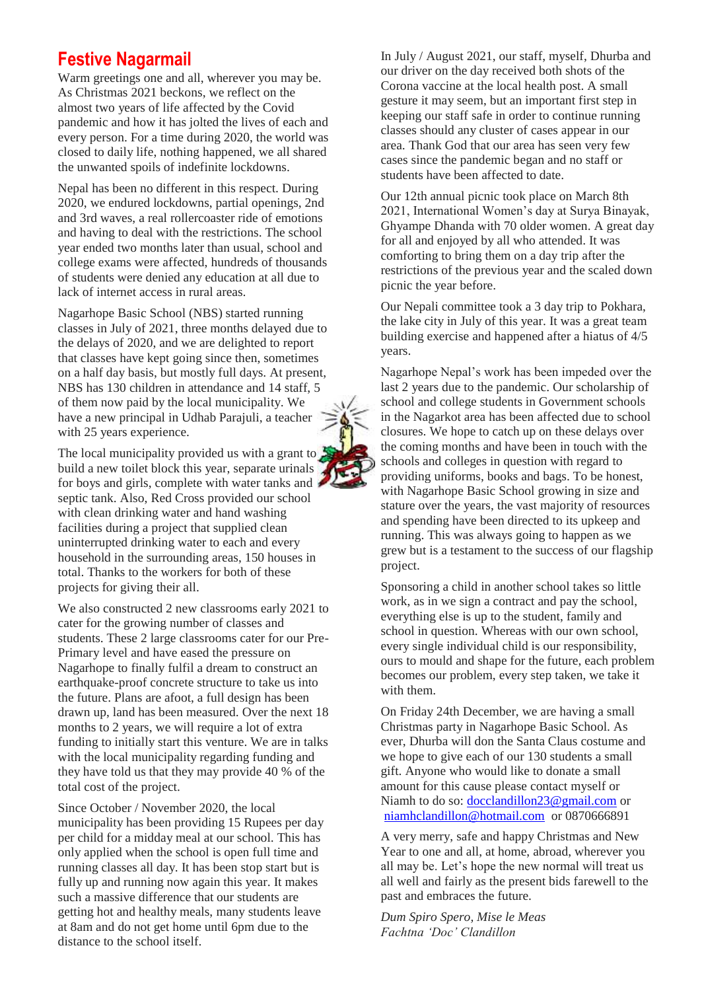## **Festive Nagarmail**

Warm greetings one and all, wherever you may be. As Christmas 2021 beckons, we reflect on the almost two years of life affected by the Covid pandemic and how it has jolted the lives of each and every person. For a time during 2020, the world was closed to daily life, nothing happened, we all shared the unwanted spoils of indefinite lockdowns.

Nepal has been no different in this respect. During 2020, we endured lockdowns, partial openings, 2nd and 3rd waves, a real rollercoaster ride of emotions and having to deal with the restrictions. The school year ended two months later than usual, school and college exams were affected, hundreds of thousands of students were denied any education at all due to lack of internet access in rural areas.

Nagarhope Basic School (NBS) started running classes in July of 2021, three months delayed due to the delays of 2020, and we are delighted to report that classes have kept going since then, sometimes on a half day basis, but mostly full days. At present, NBS has 130 children in attendance and 14 staff, 5 of them now paid by the local municipality. We have a new principal in Udhab Parajuli, a teacher with 25 years experience.

The local municipality provided us with a grant to  $\frac{3}{2}$ build a new toilet block this year, separate urinals for boys and girls, complete with water tanks and septic tank. Also, Red Cross provided our school with clean drinking water and hand washing facilities during a project that supplied clean uninterrupted drinking water to each and every household in the surrounding areas, 150 houses in total. Thanks to the workers for both of these projects for giving their all.

We also constructed 2 new classrooms early 2021 to cater for the growing number of classes and students. These 2 large classrooms cater for our Pre-Primary level and have eased the pressure on Nagarhope to finally fulfil a dream to construct an earthquake-proof concrete structure to take us into the future. Plans are afoot, a full design has been drawn up, land has been measured. Over the next 18 months to 2 years, we will require a lot of extra funding to initially start this venture. We are in talks with the local municipality regarding funding and they have told us that they may provide 40 % of the total cost of the project.

Since October / November 2020, the local municipality has been providing 15 Rupees per day per child for a midday meal at our school. This has only applied when the school is open full time and running classes all day. It has been stop start but is fully up and running now again this year. It makes such a massive difference that our students are getting hot and healthy meals, many students leave at 8am and do not get home until 6pm due to the distance to the school itself.

In July / August 2021, our staff, myself, Dhurba and our driver on the day received both shots of the Corona vaccine at the local health post. A small gesture it may seem, but an important first step in keeping our staff safe in order to continue running classes should any cluster of cases appear in our area. Thank God that our area has seen very few cases since the pandemic began and no staff or students have been affected to date.

Our 12th annual picnic took place on March 8th 2021, International Women's day at Surya Binayak, Ghyampe Dhanda with 70 older women. A great day for all and enjoyed by all who attended. It was comforting to bring them on a day trip after the restrictions of the previous year and the scaled down picnic the year before.

Our Nepali committee took a 3 day trip to Pokhara, the lake city in July of this year. It was a great team building exercise and happened after a hiatus of 4/5 years.

Nagarhope Nepal's work has been impeded over the last 2 years due to the pandemic. Our scholarship of school and college students in Government schools in the Nagarkot area has been affected due to school closures. We hope to catch up on these delays over the coming months and have been in touch with the schools and colleges in question with regard to providing uniforms, books and bags. To be honest, with Nagarhope Basic School growing in size and stature over the years, the vast majority of resources and spending have been directed to its upkeep and running. This was always going to happen as we grew but is a testament to the success of our flagship project.

Sponsoring a child in another school takes so little work, as in we sign a contract and pay the school, everything else is up to the student, family and school in question. Whereas with our own school, every single individual child is our responsibility, ours to mould and shape for the future, each problem becomes our problem, every step taken, we take it with them.

On Friday 24th December, we are having a small Christmas party in Nagarhope Basic School. As ever, Dhurba will don the Santa Claus costume and we hope to give each of our 130 students a small gift. Anyone who would like to donate a small amount for this cause please contact myself or Niamh to do so[: docclandillon23@gmail.com](mailto:docclandillon23@gmail.com) or [niamhclandillon@hotmail.com](mailto:niamhclandillon@hotmail.com) or 0870666891

A very merry, safe and happy Christmas and New Year to one and all, at home, abroad, wherever you all may be. Let's hope the new normal will treat us all well and fairly as the present bids farewell to the past and embraces the future.

*Dum Spiro Spero, Mise le Meas Fachtna 'Doc' Clandillon*

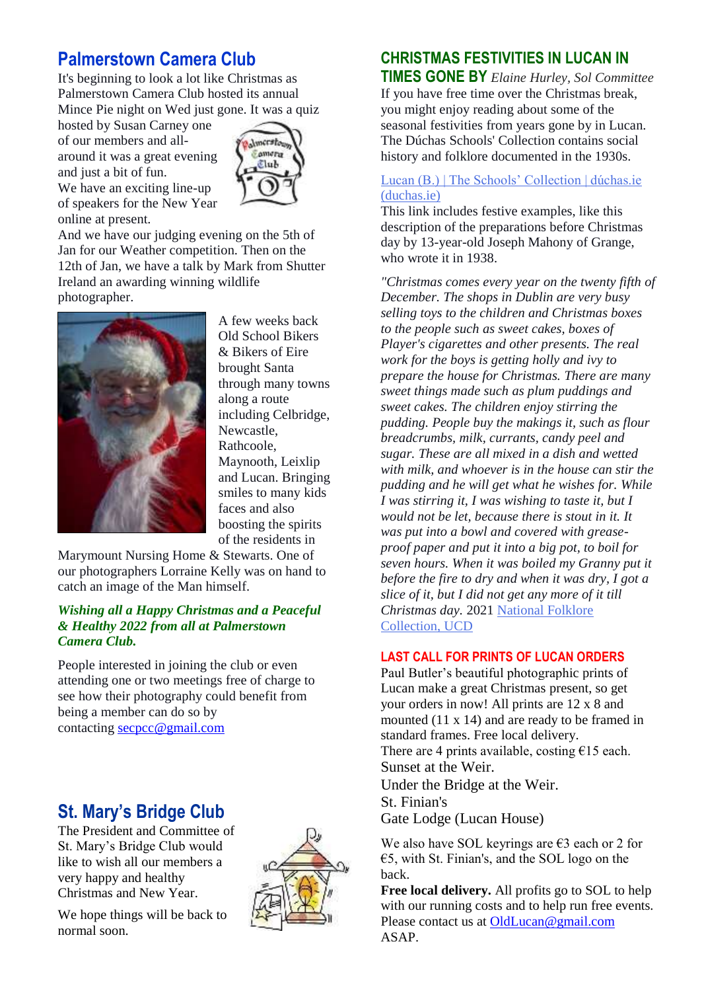# **Palmerstown Camera Club**

It's beginning to look a lot like Christmas as Palmerstown Camera Club hosted its annual Mince Pie night on Wed just gone. It was a quiz

hosted by Susan Carney one of our members and allaround it was a great evening and just a bit of fun.



We have an exciting line-up of speakers for the New Year online at present.

And we have our judging evening on the 5th of Jan for our Weather competition. Then on the 12th of Jan, we have a talk by Mark from Shutter Ireland an awarding winning wildlife photographer.



A few weeks back Old School Bikers & Bikers of Eire brought Santa through many towns along a route including Celbridge, Newcastle, Rathcoole, Maynooth, Leixlip and Lucan. Bringing smiles to many kids faces and also boosting the spirits of the residents in

Marymount Nursing Home & Stewarts. One of our photographers Lorraine Kelly was on hand to catch an image of the Man himself.

#### *Wishing all a Happy Christmas and a Peaceful & Healthy 2022 from all at Palmerstown Camera Club.*

People interested in joining the club or even attending one or two meetings free of charge to see how their photography could benefit from being a member can do so by contacting [secpcc@gmail.com](mailto:secpcc@gmail.com)

# **St. Mary's Bridge Club**

The President and Committee of St. Mary's Bridge Club would like to wish all our members a very happy and healthy Christmas and New Year.





## **CHRISTMAS FESTIVITIES IN LUCAN IN**

**TIMES GONE BY** *Elaine Hurley, Sol Committee* If you have free time over the Christmas break, you might enjoy reading about some of the seasonal festivities from years gone by in Lucan. The Dúchas Schools' Collection contains social history and folklore documented in the 1930s.

#### [Lucan \(B.\) | The Schools' Collection | dúchas.ie](https://www.duchas.ie/en/cbes/4428214/4386494)  [\(duchas.ie\)](https://www.duchas.ie/en/cbes/4428214/4386494)

This link includes festive examples, like this description of the preparations before Christmas day by 13-year-old Joseph Mahony of Grange, who wrote it in 1938.

*"Christmas comes every year on the twenty fifth of December. The shops in Dublin are very busy selling toys to the children and Christmas boxes to the people such as sweet cakes, boxes of Player's cigarettes and other presents. The real work for the boys is getting holly and ivy to prepare the house for Christmas. There are many sweet things made such as plum puddings and sweet cakes. The children enjoy stirring the pudding. People buy the makings it, such as flour breadcrumbs, milk, currants, candy peel and sugar. These are all mixed in a dish and wetted with milk, and whoever is in the house can stir the pudding and he will get what he wishes for. While I was stirring it, I was wishing to taste it, but I would not be let, because there is stout in it. It was put into a bowl and covered with greaseproof paper and put it into a big pot, to boil for seven hours. When it was boiled my Granny put it before the fire to dry and when it was dry, I got a slice of it, but I did not get any more of it till Christmas day.* 2021 [National Folklore](http://www.ucd.ie/irishfolklore/en/)  [Collection, UCD](http://www.ucd.ie/irishfolklore/en/)

#### **LAST CALL FOR PRINTS OF LUCAN ORDERS**

Paul Butler's beautiful photographic prints of Lucan make a great Christmas present, so get your orders in now! All prints are 12 x 8 and mounted (11 x 14) and are ready to be framed in standard frames. Free local delivery. There are 4 prints available, costing  $\epsilon$ 15 each. Sunset at the Weir. Under the Bridge at the Weir. St. Finian's Gate Lodge (Lucan House)

We also have SOL keyrings are  $\epsilon$ 3 each or 2 for €5, with St. Finian's, and the SOL logo on the back.

**Free local delivery.** All profits go to SOL to help with our running costs and to help run free events. Please contact us at [OldLucan@gmail.com](mailto:OldLucan@gmail.com) ASAP.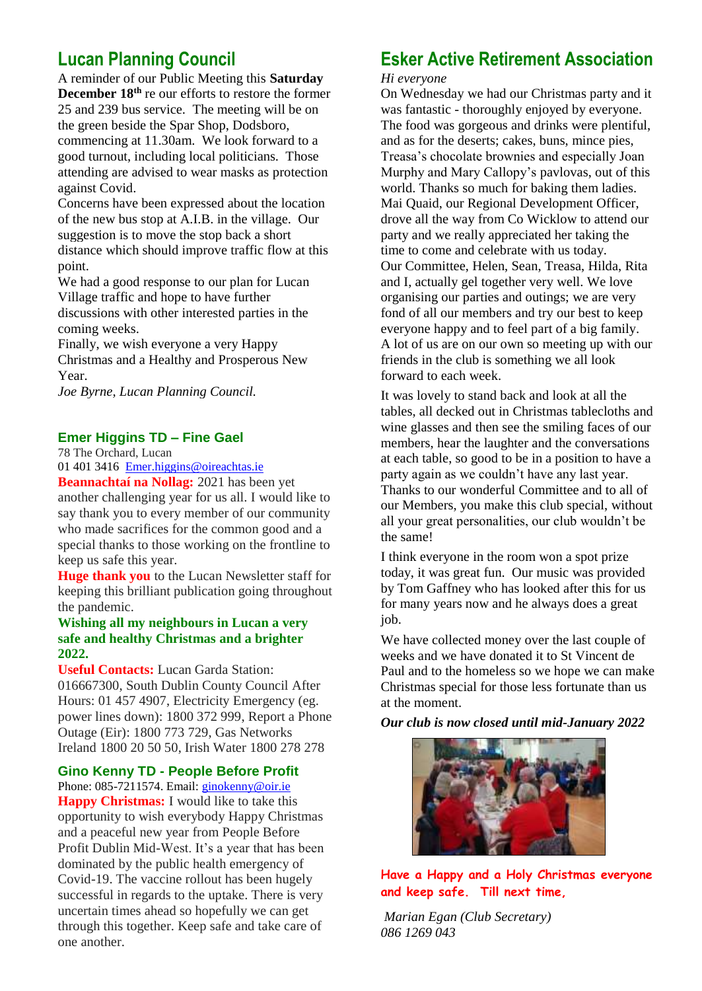## **Lucan Planning Council**

A reminder of our Public Meeting this **Saturday December 18th** re our efforts to restore the former 25 and 239 bus service. The meeting will be on the green beside the Spar Shop, Dodsboro, commencing at 11.30am. We look forward to a good turnout, including local politicians. Those attending are advised to wear masks as protection against Covid.

Concerns have been expressed about the location of the new bus stop at A.I.B. in the village. Our suggestion is to move the stop back a short distance which should improve traffic flow at this point.

We had a good response to our plan for Lucan Village traffic and hope to have further discussions with other interested parties in the coming weeks.

Finally, we wish everyone a very Happy Christmas and a Healthy and Prosperous New Year.

*Joe Byrne, Lucan Planning Council.*

#### **Emer Higgins TD – Fine Gael**

78 The Orchard, Lucan

[01 401 3416](tel:014013416) [Emer.higgins@oireachtas.ie](mailto:Emer.higgins@oireachtas.ie)

**Beannachtaí na Nollag:** 2021 has been yet another challenging year for us all. I would like to say thank you to every member of our community who made sacrifices for the common good and a special thanks to those working on the frontline to keep us safe this year.

**Huge thank you** to the Lucan Newsletter staff for keeping this brilliant publication going throughout the pandemic.

#### **Wishing all my neighbours in Lucan a very safe and healthy Christmas and a brighter 2022.**

**Useful Contacts:** Lucan Garda Station: 016667300, South Dublin County Council After Hours: 01 457 4907, Electricity Emergency (eg. power lines down): 1800 372 999, Report a Phone Outage (Eir): 1800 773 729, Gas Networks Ireland 1800 20 50 50, Irish Water 1800 278 278

**Gino Kenny TD - People Before Profit**

Phone: 085-7211574. Email: [ginokenny@oir.ie](mailto:ginokenny@oir.ie) **Happy Christmas:** I would like to take this opportunity to wish everybody Happy Christmas and a peaceful new year from People Before Profit Dublin Mid-West. It's a year that has been dominated by the public health emergency of Covid-19. The vaccine rollout has been hugely successful in regards to the uptake. There is very uncertain times ahead so hopefully we can get through this together. Keep safe and take care of one another.

# **Esker Active Retirement Association**

*Hi everyone* 

On Wednesday we had our Christmas party and it was fantastic - thoroughly enjoyed by everyone. The food was gorgeous and drinks were plentiful, and as for the deserts; cakes, buns, mince pies, Treasa's chocolate brownies and especially Joan Murphy and Mary Callopy's pavlovas, out of this world. Thanks so much for baking them ladies. Mai Quaid, our Regional Development Officer, drove all the way from Co Wicklow to attend our party and we really appreciated her taking the time to come and celebrate with us today. Our Committee, Helen, Sean, Treasa, Hilda, Rita and I, actually gel together very well. We love organising our parties and outings; we are very fond of all our members and try our best to keep everyone happy and to feel part of a big family. A lot of us are on our own so meeting up with our friends in the club is something we all look forward to each week.

It was lovely to stand back and look at all the tables, all decked out in Christmas tablecloths and wine glasses and then see the smiling faces of our members, hear the laughter and the conversations at each table, so good to be in a position to have a party again as we couldn't have any last year. Thanks to our wonderful Committee and to all of our Members, you make this club special, without all your great personalities, our club wouldn't be the same!

I think everyone in the room won a spot prize today, it was great fun. Our music was provided by Tom Gaffney who has looked after this for us for many years now and he always does a great job.

We have collected money over the last couple of weeks and we have donated it to St Vincent de Paul and to the homeless so we hope we can make Christmas special for those less fortunate than us at the moment.

*Our club is now closed until mid-January 2022*



**Have a Happy and a Holy Christmas everyone and keep safe. Till next time,**

*Marian Egan (Club Secretary) 086 1269 043*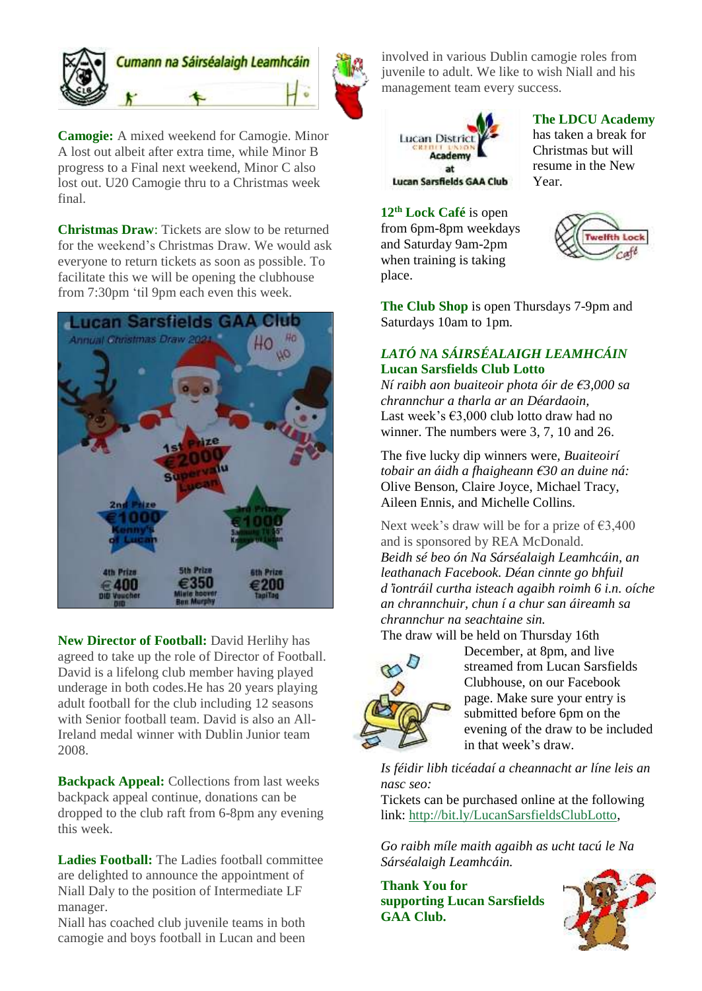

**Camogie:** A mixed weekend for Camogie. Minor A lost out albeit after extra time, while Minor B progress to a Final next weekend, Minor C also lost out. U20 Camogie thru to a Christmas week final.

**Christmas Draw**: Tickets are slow to be returned for the weekend's Christmas Draw. We would ask everyone to return tickets as soon as possible. To facilitate this we will be opening the clubhouse from 7:30pm 'til 9pm each even this week.



**New Director of Football:** David Herlihy has agreed to take up the role of Director of Football. David is a lifelong club member having played underage in both codes.He has 20 years playing adult football for the club including 12 seasons with Senior football team. David is also an All-Ireland medal winner with Dublin Junior team 2008.

**Backpack Appeal:** Collections from last weeks backpack appeal continue, donations can be dropped to the club raft from 6-8pm any evening this week.

**Ladies Football:** The Ladies football committee are delighted to announce the appointment of Niall Daly to the position of Intermediate LF manager.

Niall has coached club juvenile teams in both camogie and boys football in Lucan and been involved in various Dublin camogie roles from juvenile to adult. We like to wish Niall and his management team every success.



#### **The LDCU Academy**

has taken a break for Christmas but will resume in the New Year.

**12th Lock Café** is open from 6pm-8pm weekdays and Saturday 9am-2pm when training is taking place.



**The Club Shop** is open Thursdays 7-9pm and Saturdays 10am to 1pm.

## *LATÓ NA SÁIRSÉALAIGH LEAMHCÁIN* **Lucan Sarsfields Club Lotto**

*Ní raibh aon buaiteoir phota óir de €3,000 sa chrannchur a tharla ar an Déardaoin,* Last week's  $\epsilon$ 3,000 club lotto draw had no winner. The numbers were 3, 7, 10 and 26.

The five lucky dip winners were*, Buaiteoirí tobair an áidh a fhaigheann €30 an duine ná:* Olive Benson, Claire Joyce, Michael Tracy, Aileen Ennis, and Michelle Collins.

Next week's draw will be for a prize of  $\epsilon$ 3,400 and is sponsored by REA McDonald. *Beidh sé beo ón Na Sárséalaigh Leamhcáin, an leathanach Facebook. Déan cinnte go bhfuil d*'*iontráil curtha isteach agaibh roimh 6 i.n. oíche an chrannchuir, chun í a chur san áireamh sa chrannchur na seachtaine sin.*

The draw will be held on Thursday 16th



December, at 8pm, and live streamed from Lucan Sarsfields Clubhouse, on our Facebook page. Make sure your entry is submitted before 6pm on the evening of the draw to be included in that week's draw.

*Is féidir libh ticéadaí a cheannacht ar líne leis an nasc seo:*

Tickets can be purchased online at the following link: [http://bit.ly/LucanSarsfieldsClubLotto,](http://bit.ly/LucanSarsfieldsClubLotto)

*Go raibh míle maith agaibh as ucht tacú le Na Sárséalaigh Leamhcáin.*

**Thank You for supporting Lucan Sarsfields GAA Club.**